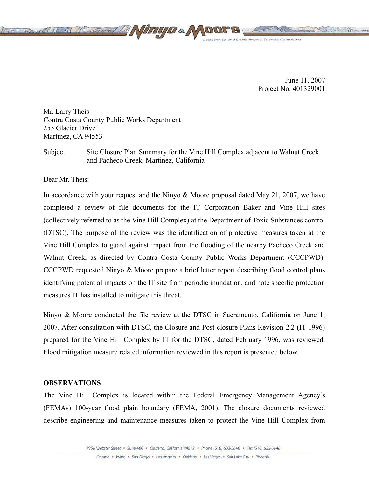

June 11, 2007 Project No. 401329001

Mr. Larry Theis Contra Costa County Public Works Department 255 Glacier Drive Martinez, CA 94553

Subject: Site Closure Plan Summary for the Vine Hill Complex adjacent to Walnut Creek and Pacheco Creek, Martinez, California

Dear Mr. Theis:

In accordance with your request and the Ninyo & Moore proposal dated May 21, 2007, we have completed a review of file documents for the IT Corporation Baker and Vine Hill sites (collectively referred to as the Vine Hill Complex) at the Department of Toxic Substances control (DTSC). The purpose of the review was the identification of protective measures taken at the Vine Hill Complex to guard against impact from the flooding of the nearby Pacheco Creek and Walnut Creek, as directed by Contra Costa County Public Works Department (CCCPWD). CCCPWD requested Ninyo & Moore prepare a brief letter report describing flood control plans identifying potential impacts on the IT site from periodic inundation, and note specific protection measures IT has installed to mitigate this threat.

Ninyo & Moore conducted the file review at the DTSC in Sacramento, California on June 1, 2007. After consultation with DTSC, the Closure and Post-closure Plans Revision 2.2 (IT 1996) prepared for the Vine Hill Complex by IT for the DTSC, dated February 1996, was reviewed. Flood mitigation measure related information reviewed in this report is presented below.

## **OBSERVATIONS**

The Vine Hill Complex is located within the Federal Emergency Management Agency's (FEMAs) 100-year flood plain boundary (FEMA, 2001). The closure documents reviewed describe engineering and maintenance measures taken to protect the Vine Hill Complex from

1956 Webster Street · Suite 400 · Oakland, California 94612 · Phone (510) 633-5640 · Fax (510) 633-5646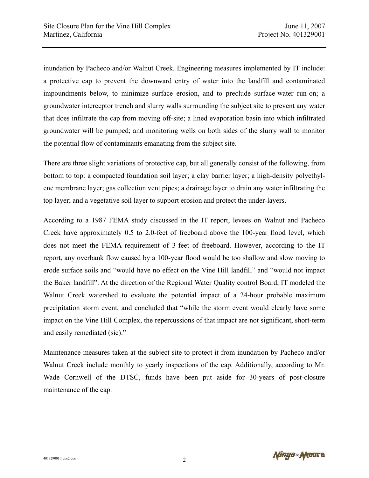inundation by Pacheco and/or Walnut Creek. Engineering measures implemented by IT include: a protective cap to prevent the downward entry of water into the landfill and contaminated impoundments below, to minimize surface erosion, and to preclude surface-water run-on; a groundwater interceptor trench and slurry walls surrounding the subject site to prevent any water that does infiltrate the cap from moving off-site; a lined evaporation basin into which infiltrated groundwater will be pumped; and monitoring wells on both sides of the slurry wall to monitor the potential flow of contaminants emanating from the subject site.

There are three slight variations of protective cap, but all generally consist of the following, from bottom to top: a compacted foundation soil layer; a clay barrier layer; a high-density polyethylene membrane layer; gas collection vent pipes; a drainage layer to drain any water infiltrating the top layer; and a vegetative soil layer to support erosion and protect the under-layers.

According to a 1987 FEMA study discussed in the IT report, levees on Walnut and Pacheco Creek have approximately 0.5 to 2.0-feet of freeboard above the 100-year flood level, which does not meet the FEMA requirement of 3-feet of freeboard. However, according to the IT report, any overbank flow caused by a 100-year flood would be too shallow and slow moving to erode surface soils and "would have no effect on the Vine Hill landfill" and "would not impact the Baker landfill". At the direction of the Regional Water Quality control Board, IT modeled the Walnut Creek watershed to evaluate the potential impact of a 24-hour probable maximum precipitation storm event, and concluded that "while the storm event would clearly have some impact on the Vine Hill Complex, the repercussions of that impact are not significant, short-term and easily remediated (sic)."

Maintenance measures taken at the subject site to protect it from inundation by Pacheco and/or Walnut Creek include monthly to yearly inspections of the cap. Additionally, according to Mr. Wade Cornwell of the DTSC, funds have been put aside for 30-years of post-closure maintenance of the cap.